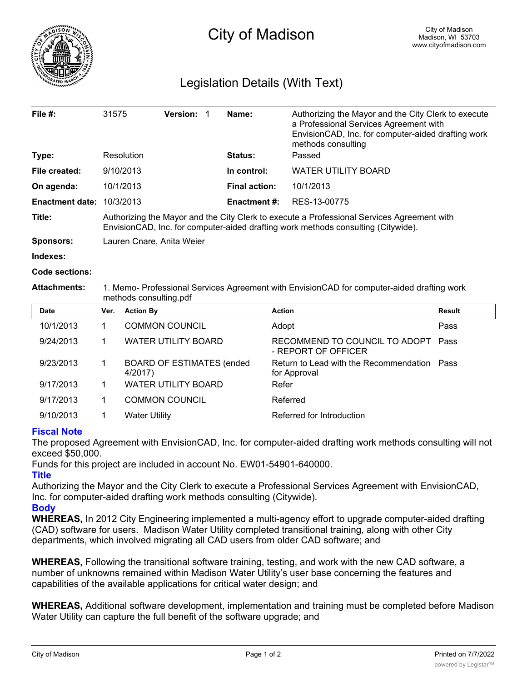

## Legislation Details (With Text)

| File $#$ :             | 31575                                                                                                                                                                           | <b>Version:</b> |  | Name:                | Authorizing the Mayor and the City Clerk to execute<br>a Professional Services Agreement with<br>EnvisionCAD, Inc. for computer-aided drafting work<br>methods consulting |  |  |
|------------------------|---------------------------------------------------------------------------------------------------------------------------------------------------------------------------------|-----------------|--|----------------------|---------------------------------------------------------------------------------------------------------------------------------------------------------------------------|--|--|
| Type:                  | Resolution                                                                                                                                                                      |                 |  | Status:              | Passed                                                                                                                                                                    |  |  |
| File created:          | 9/10/2013                                                                                                                                                                       |                 |  | In control:          | <b>WATER UTILITY BOARD</b>                                                                                                                                                |  |  |
| On agenda:             | 10/1/2013                                                                                                                                                                       |                 |  | <b>Final action:</b> | 10/1/2013                                                                                                                                                                 |  |  |
| <b>Enactment date:</b> | 10/3/2013                                                                                                                                                                       |                 |  | <b>Enactment #:</b>  | RES-13-00775                                                                                                                                                              |  |  |
| Title:                 | Authorizing the Mayor and the City Clerk to execute a Professional Services Agreement with<br>EnvisionCAD, Inc. for computer-aided drafting work methods consulting (Citywide). |                 |  |                      |                                                                                                                                                                           |  |  |
| Sponsors:              | Lauren Cnare, Anita Weier                                                                                                                                                       |                 |  |                      |                                                                                                                                                                           |  |  |

**Indexes:**

**Code sections:**

## **Attachments:** 1. Memo- Professional Services Agreement with EnvisionCAD for computer-aided drafting work methods consulting.pdf

| <b>Date</b> | Ver. | <b>Action By</b>                             | <b>Action</b>                                               | <b>Result</b> |
|-------------|------|----------------------------------------------|-------------------------------------------------------------|---------------|
| 10/1/2013   |      | <b>COMMON COUNCIL</b>                        | Adopt                                                       | Pass          |
| 9/24/2013   |      | <b>WATER UTILITY BOARD</b>                   | RECOMMEND TO COUNCIL TO ADOPT Pass<br>- REPORT OF OFFICER   |               |
| 9/23/2013   |      | <b>BOARD OF ESTIMATES (ended)</b><br>4/2017) | Return to Lead with the Recommendation Pass<br>for Approval |               |
| 9/17/2013   |      | <b>WATER UTILITY BOARD</b>                   | Refer                                                       |               |
| 9/17/2013   |      | <b>COMMON COUNCIL</b>                        | Referred                                                    |               |
| 9/10/2013   |      | <b>Water Utility</b>                         | Referred for Introduction                                   |               |

## **Fiscal Note**

The proposed Agreement with EnvisionCAD, Inc. for computer-aided drafting work methods consulting will not exceed \$50,000.

Funds for this project are included in account No. EW01-54901-640000.

## **Title**

Authorizing the Mayor and the City Clerk to execute a Professional Services Agreement with EnvisionCAD, Inc. for computer-aided drafting work methods consulting (Citywide).

**Body**

**WHEREAS,** In 2012 City Engineering implemented a multi-agency effort to upgrade computer-aided drafting (CAD) software for users. Madison Water Utility completed transitional training, along with other City departments, which involved migrating all CAD users from older CAD software; and

**WHEREAS,** Following the transitional software training, testing, and work with the new CAD software, a number of unknowns remained within Madison Water Utility's user base concerning the features and capabilities of the available applications for critical water design; and

**WHEREAS,** Additional software development, implementation and training must be completed before Madison Water Utility can capture the full benefit of the software upgrade; and